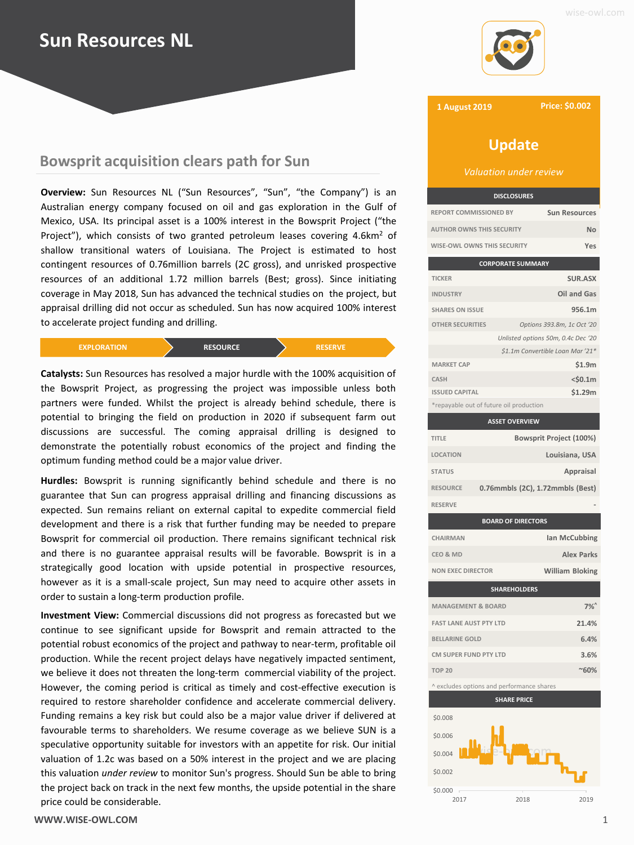# **Sun Resources NL**

# **Bowsprit acquisition clears path for Sun**

**Overview:** Sun Resources NL ("Sun Resources", "Sun", "the Company") is an Australian energy company focused on oil and gas exploration in the Gulf of Mexico, USA. Its principal asset is a 100% interest in the Bowsprit Project ("the Project"), which consists of two granted petroleum leases covering 4.6km<sup>2</sup> of shallow transitional waters of Louisiana. The Project is estimated to host contingent resources of 0.76million barrels (2C gross), and unrisked prospective resources of an additional 1.72 million barrels (Best; gross). Since initiating coverage in May 2018, Sun has advanced the technical studies on the project, but appraisal drilling did not occur as scheduled. Sun has now acquired 100% interest to accelerate project funding and drilling.

| <b>EXPLORATION</b> ' | <b>RESOURCE</b> | <b>RESERVE</b> |
|----------------------|-----------------|----------------|
|----------------------|-----------------|----------------|

**Catalysts:** Sun Resources has resolved a major hurdle with the 100% acquisition of the Bowsprit Project, as progressing the project was impossible unless both partners were funded. Whilst the project is already behind schedule, there is potential to bringing the field on production in 2020 if subsequent farm out discussions are successful. The coming appraisal drilling is designed to demonstrate the potentially robust economics of the project and finding the optimum funding method could be a major value driver.

**Hurdles:** Bowsprit is running significantly behind schedule and there is no guarantee that Sun can progress appraisal drilling and financing discussions as expected. Sun remains reliant on external capital to expedite commercial field development and there is a risk that further funding may be needed to prepare Bowsprit for commercial oil production. There remains significant technical risk and there is no guarantee appraisal results will be favorable. Bowsprit is in a strategically good location with upside potential in prospective resources, however as it is a small-scale project, Sun may need to acquire other assets in order to sustain a long-term production profile.

**Investment View:** Commercial discussions did not progress as forecasted but we continue to see significant upside for Bowsprit and remain attracted to the potential robust economics of the project and pathway to near-term, profitable oil production. While the recent project delays have negatively impacted sentiment, we believe it does not threaten the long-term commercial viability of the project. However, the coming period is critical as timely and cost-effective execution is required to restore shareholder confidence and accelerate commercial delivery. Funding remains a key risk but could also be a major value driver if delivered at favourable terms to shareholders. We resume coverage as we believe SUN is a speculative opportunity suitable for investors with an appetite for risk. Our initial valuation of 1.2c was based on a 50% interest in the project and we are placing this valuation *under review* to monitor Sun's progress. Should Sun be able to bring the project back on track in the next few months, the upside potential in the share price could be considerable.





**1 August 2019**

**Price: \$0.002**

# **Update**

*Valuation under review*

| <b>DISCLOSURES</b>                 |                      |
|------------------------------------|----------------------|
| <b>REPORT COMMISSIONED BY</b>      | <b>Sun Resources</b> |
| <b>AUTHOR OWNS THIS SECURITY</b>   | Nη                   |
| <b>WISE-OWL OWNS THIS SECURITY</b> |                      |

| <b>CORPORATE SUMMARY</b>                |                                    |  |
|-----------------------------------------|------------------------------------|--|
| <b>TICKER</b>                           | <b>SUR.ASX</b>                     |  |
| <b>INDUSTRY</b>                         | Oil and Gas                        |  |
| <b>SHARES ON ISSUE</b>                  | 956.1m                             |  |
| <b>OTHER SECURITIES</b>                 | Options 393.8m, 1c Oct '20         |  |
|                                         | Unlisted options 50m, 0.4c Dec '20 |  |
|                                         | \$1.1m Convertible Loan Mar '21*   |  |
| <b>MARKET CAP</b>                       | \$1.9m                             |  |
| CASH                                    | $<$ \$0.1m                         |  |
| <b>ISSUED CAPITAL</b>                   | \$1.29m                            |  |
| *repayable out of future oil production |                                    |  |

|                                           | <b>ASSET OVERVIEW</b> |                                  |
|-------------------------------------------|-----------------------|----------------------------------|
| <b>TITLE</b>                              |                       | Bowsprit Project (100%)          |
| <b>LOCATION</b>                           |                       | Louisiana, USA                   |
| <b>STATUS</b>                             |                       | Appraisal                        |
| <b>RESOURCE</b>                           |                       | 0.76mmbls (2C), 1.72mmbls (Best) |
| <b>RESERVE</b>                            |                       |                                  |
| <b>BOARD OF DIRECTORS</b>                 |                       |                                  |
| CHAIRMAN                                  |                       | Ian McCubbing                    |
| CEO & MD                                  |                       | <b>Alex Parks</b>                |
| <b>NON EXEC DIRECTOR</b>                  |                       | <b>William Bloking</b>           |
| <b>SHAREHOLDERS</b>                       |                       |                                  |
| <b>MANAGEMENT &amp; BOARD</b>             |                       | $7%^{\circ}$                     |
| <b>FAST LANE AUST PTY LTD</b>             |                       | 21.4%                            |
| <b>BELLARINE GOLD</b>                     |                       | 6.4%                             |
| CM SUPER FUND PTY LTD                     |                       | 3.6%                             |
| <b>TOP 20</b>                             |                       | $~80\%$                          |
| ^ excludes options and performance shares |                       |                                  |
| <b>SHARE PRICE</b>                        |                       |                                  |
| SU UQ                                     |                       |                                  |

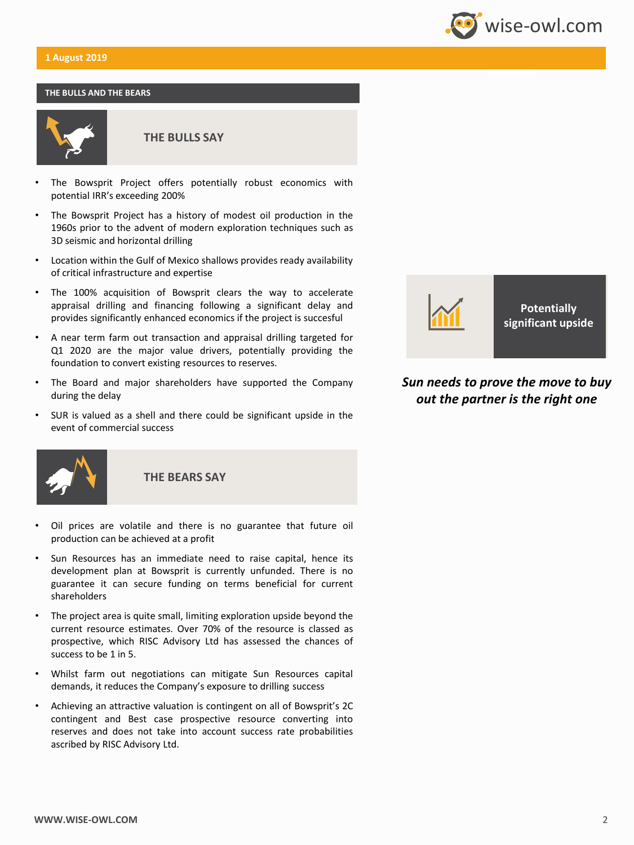## **1 August 2019**

#### **THE BULLS AND THE BEARS**



**THE BULLS SAY**

- The Bowsprit Project offers potentially robust economics with potential IRR's exceeding 200%
- The Bowsprit Project has a history of modest oil production in the 1960s prior to the advent of modern exploration techniques such as 3D seismic and horizontal drilling
- Location within the Gulf of Mexico shallows provides ready availability of critical infrastructure and expertise
- The 100% acquisition of Bowsprit clears the way to accelerate appraisal drilling and financing following a significant delay and provides significantly enhanced economics if the project is succesful
- A near term farm out transaction and appraisal drilling targeted for Q1 2020 are the major value drivers, potentially providing the foundation to convert existing resources to reserves.
- The Board and major shareholders have supported the Company during the delay
- SUR is valued as a shell and there could be significant upside in the event of commercial success



**THE BEARS SAY**

- Oil prices are volatile and there is no guarantee that future oil production can be achieved at a profit
- Sun Resources has an immediate need to raise capital, hence its development plan at Bowsprit is currently unfunded. There is no guarantee it can secure funding on terms beneficial for current shareholders
- The project area is quite small, limiting exploration upside beyond the current resource estimates. Over 70% of the resource is classed as prospective, which RISC Advisory Ltd has assessed the chances of success to be 1 in 5.
- Whilst farm out negotiations can mitigate Sun Resources capital demands, it reduces the Company's exposure to drilling success
- Achieving an attractive valuation is contingent on all of Bowsprit's 2C contingent and Best case prospective resource converting into reserves and does not take into account success rate probabilities ascribed by RISC Advisory Ltd.



**Potentially significant upside**

**Wise-owl.com** 

## *Sun needs to prove the move to buy out the partner is the right one*